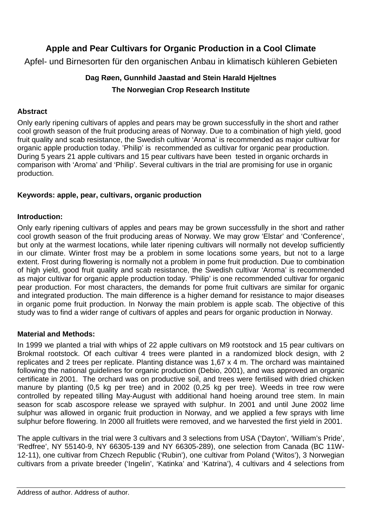# **Apple and Pear Cultivars for Organic Production in a Cool Climate**

Apfel- und Birnesorten für den organischen Anbau in klimatisch kühleren Gebieten

## **Dag Røen, Gunnhild Jaastad and Stein Harald Hjeltnes The Norwegian Crop Research Institute**

### **Abstract**

Only early ripening cultivars of apples and pears may be grown successfully in the short and rather cool growth season of the fruit producing areas of Norway. Due to a combination of high yield, good fruit quality and scab resistance, the Swedish cultivar 'Aroma' is recommended as major cultivar for organic apple production today. 'Philip' is recommended as cultivar for organic pear production. During 5 years 21 apple cultivars and 15 pear cultivars have been tested in organic orchards in comparison with 'Aroma' and 'Philip'. Several cultivars in the trial are promising for use in organic production.

### **Keywords: apple, pear, cultivars, organic production**

#### **Introduction:**

Only early ripening cultivars of apples and pears may be grown successfully in the short and rather cool growth season of the fruit producing areas of Norway. We may grow 'Elstar' and 'Conference', but only at the warmest locations, while later ripening cultivars will normally not develop sufficiently in our climate. Winter frost may be a problem in some locations some years, but not to a large extent. Frost during flowering is normally not a problem in pome fruit production. Due to combination of high yield, good fruit quality and scab resistance, the Swedish cultivar 'Aroma' is recommended as major cultivar for organic apple production today. 'Philip' is one recommended cultivar for organic pear production. For most characters, the demands for pome fruit cultivars are similar for organic and integrated production. The main difference is a higher demand for resistance to major diseases in organic pome fruit production. In Norway the main problem is apple scab. The objective of this study was to find a wider range of cultivars of apples and pears for organic production in Norway.

### **Material and Methods:**

In 1999 we planted a trial with whips of 22 apple cultivars on M9 rootstock and 15 pear cultivars on Brokmal rootstock. Of each cultivar 4 trees were planted in a randomized block design, with 2 replicates and 2 trees per replicate. Planting distance was 1,67 x 4 m. The orchard was maintained following the national guidelines for organic production (Debio, 2001), and was approved an organic certificate in 2001. The orchard was on productive soil, and trees were fertilised with dried chicken manure by planting (0,5 kg per tree) and in 2002 (0,25 kg per tree). Weeds in tree row were controlled by repeated tilling May-August with additional hand hoeing around tree stem. In main season for scab ascospore release we sprayed with sulphur. In 2001 and until June 2002 lime sulphur was allowed in organic fruit production in Norway, and we applied a few sprays with lime sulphur before flowering. In 2000 all fruitlets were removed, and we harvested the first yield in 2001.

The apple cultivars in the trial were 3 cultivars and 3 selections from USA ('Dayton', 'William's Pride', 'Redfree', NY 55140-9, NY 66305-139 and NY 66305-289), one selection from Canada (BC 11W-12-11), one cultivar from Chzech Republic ('Rubin'), one cultivar from Poland ('Witos'), 3 Norwegian cultivars from a private breeder ('Ingelin', 'Katinka' and 'Katrina'), 4 cultivars and 4 selections from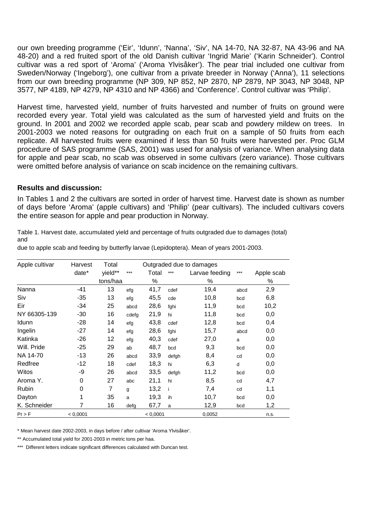our own breeding programme ('Eir', 'Idunn', 'Nanna', 'Siv', NA 14-70, NA 32-87, NA 43-96 and NA 48-20) and a red fruited sport of the old Danish cultivar 'Ingrid Marie' ('Karin Schneider'). Control cultivar was a red sport of 'Aroma' ('Aroma Ylvisåker'). The pear trial included one cultivar from Sweden/Norway ('Ingeborg'), one cultivar from a private breeder in Norway ('Anna'), 11 selections from our own breeding programme (NP 309, NP 852, NP 2870, NP 2879, NP 3043, NP 3048, NP 3577, NP 4189, NP 4279, NP 4310 and NP 4366) and 'Conference'. Control cultivar was 'Philip'.

Harvest time, harvested yield, number of fruits harvested and number of fruits on ground were recorded every year. Total yield was calculated as the sum of harvested yield and fruits on the ground. In 2001 and 2002 we recorded apple scab, pear scab and powdery mildew on trees. In 2001-2003 we noted reasons for outgrading on each fruit on a sample of 50 fruits from each replicate. All harvested fruits were examined if less than 50 fruits were harvested per. Proc GLM procedure of SAS programme (SAS, 2001) was used for analysis of variance. When analysing data for apple and pear scab, no scab was observed in some cultivars (zero variance). Those cultivars were omitted before analysis of variance on scab incidence on the remaining cultivars.

#### **Results and discussion:**

In Tables 1 and 2 the cultivars are sorted in order of harvest time. Harvest date is shown as number of days before 'Aroma' (apple cultivars) and 'Philip' (pear cultivars). The included cultivars covers the entire season for apple and pear production in Norway.

Table 1. Harvest date, accumulated yield and percentage of fruits outgraded due to damages (total) and

| Apple cultivar | Harvest<br>Total<br>Outgraded due to damages |          |       |          |       |                |      |            |
|----------------|----------------------------------------------|----------|-------|----------|-------|----------------|------|------------|
|                | date*                                        | yield**  | ***   | Total    | $***$ | Larvae feeding | ***  | Apple scab |
|                |                                              | tons/haa |       | %        |       | $\%$           |      | ℅          |
| Nanna          | $-41$                                        | 13       | efg   | 41,7     | cdef  | 19,4           | abcd | 2,9        |
| Siv            | -35                                          | 13       | efg   | 45,5     | cde   | 10,8           | bcd  | 6,8        |
| Eir            | -34                                          | 25       | abcd  | 28,6     | fghi  | 11,9           | bcd  | 10,2       |
| NY 66305-139   | $-30$                                        | 16       | cdefg | 21,9     | hi    | 11,8           | bcd  | 0,0        |
| Idunn          | -28                                          | 14       | efg   | 43,8     | cdef  | 12,8           | bcd  | 0,4        |
| Ingelin        | -27                                          | 14       | efg   | 28,6     | fghi  | 15,7           | abcd | 0,0        |
| Katinka        | $-26$                                        | 12       | efg   | 40,3     | cdef  | 27,0           | a    | 0,0        |
| Will. Pride    | $-25$                                        | 29       | ab    | 48,7     | bcd   | 9,3            | bcd  | 0,0        |
| NA 14-70       | $-13$                                        | 26       | abcd  | 33,9     | defgh | 8,4            | cd   | 0,0        |
| Redfree        | $-12$                                        | 18       | cdef  | 18,3     | hi    | 6,3            | d    | 0,0        |
| Witos          | -9                                           | 26       | abcd  | 33,5     | defgh | 11,2           | bcd  | 0,0        |
| Aroma Y.       | 0                                            | 27       | abc   | 21,1     | hi    | 8,5            | cd   | 4,7        |
| Rubin          | 0                                            | 7        | g     | 13,2     | Ť     | 7,4            | cd   | 1,1        |
| Dayton         | 1                                            | 35       | a     | 19,3     | ih    | 10,7           | bcd  | 0,0        |
| K. Schneider   | 7                                            | 16       | defg  | 67,7     | a     | 12,9           | bcd  | 1,2        |
| Pr > F         | < 0,0001                                     |          |       | < 0,0001 |       | 0,0052         |      | n.s.       |

due to apple scab and feeding by butterfly larvae (Lepidoptera). Mean of years 2001-2003.

\* Mean harvest date 2002-2003, in days before / after cultivar 'Aroma Ylvisåker'.

\*\* Accumulated total yield for 2001-2003 in metric tons per haa.

\*\*\* Different letters indicate significant differences calculated with Duncan test.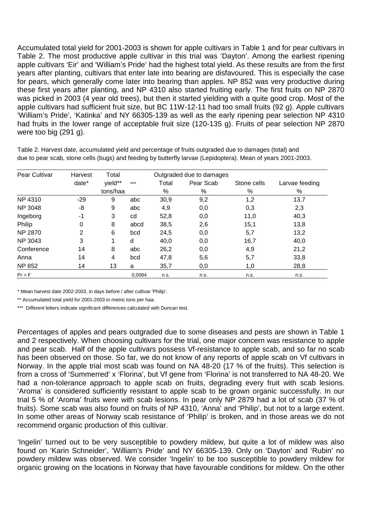Accumulated total yield for 2001-2003 is shown for apple cultivars in Table 1 and for pear cultivars in Table 2. The most productive apple cultivar in this trial was 'Dayton'. Among the earliest ripening apple cultivars 'Eir' and 'William's Pride' had the highest total yield. As these results are from the first years after planting, cultivars that enter late into bearing are disfavoured. This is especially the case for pears, which generally come later into bearing than apples. NP 852 was very productive during these first years after planting, and NP 4310 also started fruiting early. The first fruits on NP 2870 was picked in 2003 (4 year old trees), but then it started yielding with a quite good crop. Most of the apple cultivars had sufficient fruit size, but BC 11W-12-11 had too small fruits (92 g). Apple cultivars 'William's Pride', 'Katinka' and NY 66305-139 as well as the early ripening pear selection NP 4310 had fruits in the lower range of acceptable fruit size (120-135 g). Fruits of pear selection NP 2870 were too big (291 g).

| Pear Cultivar  | Harvest | Total    |        | Outgraded due to damages |           |             |                |  |  |
|----------------|---------|----------|--------|--------------------------|-----------|-------------|----------------|--|--|
|                | date*   | yield**  | $***$  | Total                    | Pear Scab | Stone cells | Larvae feeding |  |  |
|                |         | tons/haa |        | %                        | %         | $\%$        | %              |  |  |
| NP 4310        | $-29$   | 9        | abc    | 30,9                     | 9,2       | 1,2         | 13,7           |  |  |
| <b>NP 3048</b> | -8      | 9        | abc    | 4,9                      | 0,0       | 0,3         | 2,3            |  |  |
| Ingeborg       | $-1$    | 3        | cd     | 52,8                     | 0,0       | 11,0        | 40,3           |  |  |
| Philip         | 0       | 8        | abcd   | 38,5                     | 2,6       | 15,1        | 13,8           |  |  |
| <b>NP 2870</b> | 2       | 6        | bcd    | 24,5                     | 0,0       | 5,7         | 13,2           |  |  |
| NP 3043        | 3       | 1        | d      | 40,0                     | 0,0       | 16,7        | 40,0           |  |  |
| Conference     | 14      | 8        | abc    | 26,2                     | 0,0       | 4,9         | 21,2           |  |  |
| Anna           | 14      | 4        | bcd    | 47,8                     | 5,6       | 5,7         | 33,8           |  |  |
| <b>NP 852</b>  | 14      | 13       | a      | 35,7                     | 0,0       | 1,0         | 28,8           |  |  |
| $Pr$ > F       |         |          | 0.0084 | n.s.                     | n.s.      | n.s.        | n.s.           |  |  |

Table 2. Harvest date, accumulated yield and percentage of fruits outgraded due to damages (total) and due to pear scab, stone cells (bugs) and feeding by butterfly larvae (Lepidoptera). Mean of years 2001-2003.

\* Mean harvest date 2002-2003, in days before / after cultivar 'Philip'.

\*\* Accumulated total yield for 2001-2003 in metric tons per haa.

Different letters indicate significant differences calculated with Duncan test.

Percentages of apples and pears outgraded due to some diseases and pests are shown in Table 1 and 2 respectively. When choosing cultivars for the trial, one major concern was resistance to apple and pear scab. Half of the apple cultivars possess Vf-resistance to apple scab, and so far no scab has been observed on those. So far, we do not know of any reports of apple scab on Vf cultivars in Norway. In the apple trial most scab was found on NA 48-20 (17 % of the fruits). This selection is from a cross of 'Summerred' x 'Florina', but Vf gene from 'Florina' is not transferred to NA 48-20. We had a non-tolerance approach to apple scab on fruits, degrading every fruit with scab lesions. 'Aroma' is considered sufficiently resistant to apple scab to be grown organic successfully. In our trial 5 % of 'Aroma' fruits were with scab lesions. In pear only NP 2879 had a lot of scab (37 % of fruits). Some scab was also found on fruits of NP 4310, 'Anna' and 'Philip', but not to a large extent. In some other areas of Norway scab resistance of 'Philip' is broken, and in those areas we do not recommend organic production of this cultivar.

'Ingelin' turned out to be very susceptible to powdery mildew, but quite a lot of mildew was also found on 'Karin Schneider', 'William's Pride' and NY 66305-139. Only on 'Dayton' and 'Rubin' no powdery mildew was observed. We consider 'Ingelin' to be too susceptible to powdery mildew for organic growing on the locations in Norway that have favourable conditions for mildew. On the other